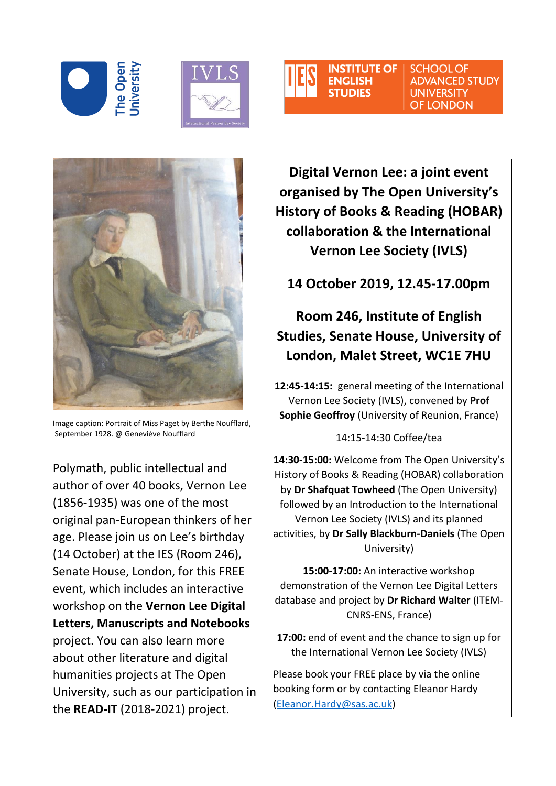





**ADVANCED STUDY UNIVERSITY OF LONDON** 



Image caption: Portrait of Miss Paget by Berthe Noufflard, September 1928. @ Geneviève Noufflard

Polymath, public intellectual and author of over 40 books, Vernon Lee (1856-1935) was one of the most original pan-European thinkers of her age. Please join us on Lee's birthday (14 October) at the IES (Room 246), Senate House, London, for this FREE event, which includes an interactive workshop on the **Vernon Lee Digital Letters, Manuscripts and Notebooks**

project. You can also learn more about other literature and digital humanities projects at The Open University, such as our participation in the **READ-IT** (2018-2021) project.

**Digital Vernon Lee: a joint event organised by The Open University's History of Books & Reading (HOBAR) collaboration & the International Vernon Lee Society (IVLS)**

**14 October 2019, 12.45-17.00pm**

## **Room 246, Institute of English Studies, Senate House, University of London, Malet Street, WC1E 7HU**

**12:45-14:15:** general meeting of the International Vernon Lee Society (IVLS), convened by **Prof Sophie Geoffroy** (University of Reunion, France)

14:15-14:30 Coffee/tea

**14:30-15:00:** Welcome from The Open University's History of Books & Reading (HOBAR) collaboration by **Dr Shafquat Towheed** (The Open University) followed by an Introduction to the International Vernon Lee Society (IVLS) and its planned activities, by **Dr Sally Blackburn-Daniels** (The Open University)

**15:00-17:00:** An interactive workshop demonstration of the Vernon Lee Digital Letters database and project by **Dr Richard Walter** (ITEM-CNRS-ENS, France)

**17:00:** end of event and the chance to sign up for the International Vernon Lee Society (IVLS)

Please book your FREE place by via the online booking form or by contacting Eleanor Hardy [\(Eleanor.Hardy@sas.ac.uk\)](mailto:Eleanor.Hardy@sas.ac.uk)